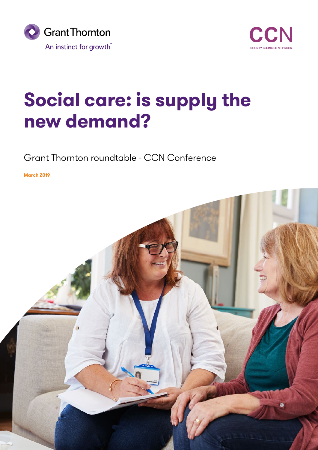



# **Social care: is supply the new demand?**

Grant Thornton roundtable - CCN Conference

**March 2019**

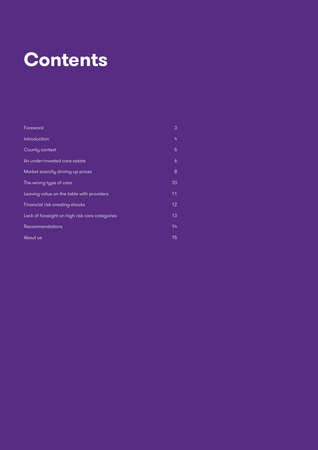# **Contents**

| Foreword                                       | 3  |
|------------------------------------------------|----|
| Introduction                                   | 4  |
| County context                                 | 5  |
| An under-invested care estate                  | 6  |
| Market scarcity driving up prices              | 8  |
| The wrong type of care                         | 10 |
| Leaving value on the table with providers      | 11 |
| Financial risk creating shocks                 | 12 |
| Lack of foresight on high risk care categories | 13 |
| Recommendations                                | 14 |
| About us                                       | 15 |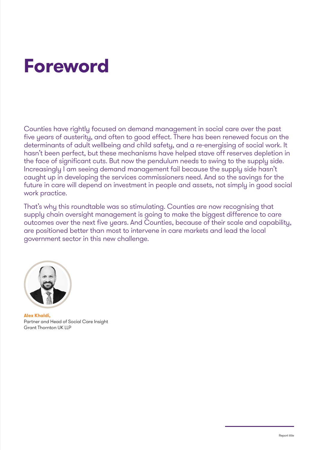## <span id="page-2-0"></span>**Foreword**

Counties have rightly focused on demand management in social care over the past five years of austerity, and often to good effect. There has been renewed focus on the determinants of adult wellbeing and child safety, and a re-energising of social work. It hasn't been perfect, but these mechanisms have helped stave off reserves depletion in the face of significant cuts. But now the pendulum needs to swing to the supply side. Increasingly I am seeing demand management fail because the supply side hasn't caught up in developing the services commissioners need. And so the savings for the future in care will depend on investment in people and assets, not simply in good social work practice.

That's why this roundtable was so stimulating. Counties are now recognising that supply chain oversight management is going to make the biggest difference to care outcomes over the next five years. And Counties, because of their scale and capability, are positioned better than most to intervene in care markets and lead the local government sector in this new challenge.



**Alex Khaldi,**  Partner and Head of Social Care Insight Grant Thornton UK LLP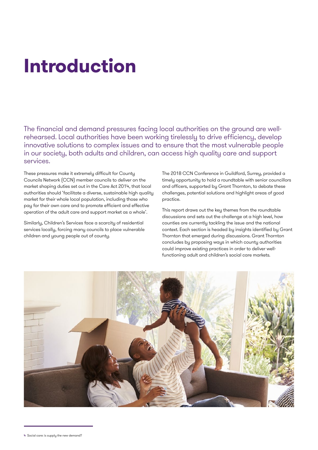# <span id="page-3-0"></span>**Introduction**

The financial and demand pressures facing local authorities on the ground are wellrehearsed. Local authorities have been working tirelessly to drive efficiency, develop innovative solutions to complex issues and to ensure that the most vulnerable people in our society, both adults and children, can access high quality care and support services.

These pressures make it extremely difficult for County Councils Network (CCN) member councils to deliver on the market shaping duties set out in the Care Act 2014, that local authorities should 'facilitate a diverse, sustainable high quality market for their whole local population, including those who pay for their own care and to promote efficient and effective operation of the adult care and support market as a whole'.

Similarly, Children's Services face a scarcity of residential services locally, forcing many councils to place vulnerable children and young people out of county.

The 2018 CCN Conference in Guildford, Surrey, provided a timely opportunity to hold a roundtable with senior councillors and officers, supported by Grant Thornton, to debate these challenges, potential solutions and highlight areas of good practice.

This report draws out the key themes from the roundtable discussions and sets out the challenge at a high level, how counties are currently tackling the issue and the national context. Each section is headed by insights identified by Grant Thornton that emerged during discussions. Grant Thornton concludes by proposing ways in which county authorities could improve existing practices in order to deliver wellfunctioning adult and children's social care markets.

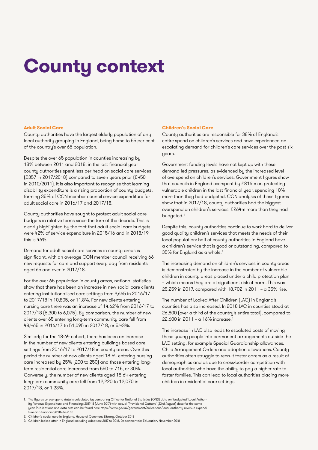### <span id="page-4-0"></span>**County context**

#### **Adult Social Care**

County authorities have the largest elderly population of any local authority grouping in England, being home to 55 per cent of the country's over 65 population.

Despite the over 65 population in counties increasing by 18% between 2011 and 2018, in the last financial year county authorities spent less per head on social care services (£357 in 2017/2018) compared to seven years prior (£450 in 2010/2011). It is also important to recognise that learning disability expenditure is a rising proportion of county budgets, forming 35% of CCN member council service expenditure for adult social care in 2016/17 and 2017/18.

County authorities have sought to protect adult social care budgets in relative terms since the turn of the decade. This is clearly highlighted by the fact that adult social care budgets were 42% of service expenditure in 2015/16 and in 2018/19 this is 46%.

Demand for adult social care services in county areas is significant, with an average CCN member council receiving 66 new requests for care and support every day from residents aged 65 and over in 2017/18.

For the over 65 population in county areas, national statistics show that there has been an increase in new social care clients entering institutionalised care settings from 9,665 in 2016/17 to 2017/18 in 10,805, or 11.8%. For new clients entering nursing care there was an increase of 14.62% from 2016/17 to 2017/18 (5,300 to 6,075). By comparison, the number of new clients over 65 entering long-term community care fell from 48,465 in 2016/17 to 51,095 in 2017/18, or 5.43%.

Similarly for the 18-64 cohort, there has been an increase in the number of new clients entering buildings-based care settings from 2016/17 to 2017/18 in county areas. Over this period the number of new clients aged 18-64 entering nursing care increased by 25% (200 to 250) and those entering longterm residential care increased from 550 to 715, or 30%. Conversely, the number of new clients aged 18-64 entering long-term community care fell from 12,220 to 12,070 in 2017/18, or 1.23%.

#### **Children's Social Care**

County authorities are responsible for 38% of England's entire spend on children's services and have experienced an escalating demand for children's care services over the past six years.

Government funding levels have not kept up with these demand-led pressures, as evidenced by the increased level of overspend on children's services. Government figures show that councils in England overspent by £816m on protecting vulnerable children in the last financial year, spending 10% more than they had budgeted. CCN analysis of these figures show that in 2017/18, county authorities had the biggest overspend on children's services: £264m more than they had budgeted.<sup>1</sup>

Despite this, county authorities continue to work hard to deliver good quality children's services that meets the needs of their local population: half of county authorities in England have a children's service that is good or outstanding, compared to 35% for England as a whole.2

The increasing demand on children's services in county areas is demonstrated by the increase in the number of vulnerable children in county areas placed under a child protection plan – which means they are at significant risk of harm. This was 25,259 in 2017, compared with 18,702 in 2011 – a 35% rise.

The number of Looked After Children (LAC) in England's counties has also increased. In 2018 LAC in counties stood at 26,800 (over a third of the country's entire total), compared to 22,600 in 2011 – a 16% increase.3

The increase in LAC also leads to escalated costs of moving these young people into permanent arrangements outside the LAC setting, for example Special Guardianship allowances, Child Arrangement Orders and adoption allowances. County authorities often struggle to recruit foster carers as a result of demographics and as due to cross-border competition with local authorities who have the ability to pay a higher rate to foster families. This can lead to local authorities placing more children in residential care settings.

- 2. Children's social care in England, House of Commons Library, October 2018
- 3. Children looked after in England including adoption: 2017 to 2018, Department for Education, November 2018

<sup>1.</sup> The figures on overspend data is calculated by comparing Office for National Statistics (ONS) data on 'budgeted' Local Author<br>ity Revenue Expenditure and Financing: 2017-18 (June 2017) with actual 'Provisional Outturn' year. Publications and data sets can be found here https://www.gov.uk/government/collections/local-authority-revenue-expenditure-and-financing#2017-to-2018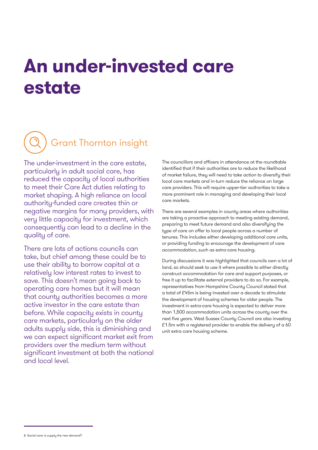### <span id="page-5-0"></span>**An under-invested care estate**

### Grant Thornton insight

The under-investment in the care estate, particularly in adult social care, has reduced the capacity of local authorities to meet their Care Act duties relating to market shaping. A high reliance on local authority-funded care creates thin or negative margins for many providers, with very little capacity for investment, which consequently can lead to a decline in the quality of care.

There are lots of actions councils can take, but chief among these could be to use their ability to borrow capital at a relatively low interest rates to invest to save. This doesn't mean going back to operating care homes but it will mean that county authorities becomes a more active investor in the care estate than before. While capacity exists in county care markets, particularly on the older adults supply side, this is diminishing and we can expect significant market exit from providers over the medium term without significant investment at both the national and local level.

The councillors and officers in attendance at the roundtable identified that if their authorities are to reduce the likelihood of market failure, they will need to take action to diversify their local care markets and in-turn reduce the reliance on large care providers. This will require upper-tier authorities to take a more prominent role in managing and developing their local care markets.

There are several examples in county areas where authorities are taking a proactive approach to meeting existing demand, preparing to meet future demand and also diversifying the type of care on offer to local people across a number of tenures. This includes either developing additional care units, or providing funding to encourage the development of care accommodation, such as extra-care housing.

During discussions it was highlighted that councils own a lot of land, so should seek to use it where possible to either directly construct accommodation for care and support purposes, or free it up to facilitate external providers to do so. For example, representatives from Hampshire County Council stated that a total of £45m is being invested over a decade to stimulate the development of housing schemes for older people. The investment in extra-care housing is expected to deliver more than 1,500 accommodation units across the county over the next five years. West Sussex County Council are also investing £1.5m with a registered provider to enable the delivery of a 60 unit extra care housing scheme.

<sup>6</sup> Social care: is supply the new demand?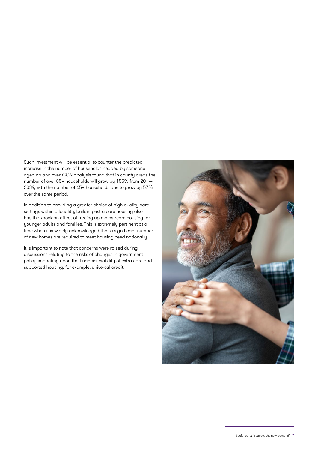Such investment will be essential to counter the predicted increase in the number of households headed by someone aged 65 and over. CCN analysis found that in county areas the number of over 85+ households will grow by 155% from 2014- 2039, with the number of 65+ households due to grow by 57% over the same period.

In addition to providing a greater choice of high quality care settings within a locality, building extra care housing also has the knock-on effect of freeing up mainstream housing for younger adults and families. This is extremely pertinent at a time when it is widely acknowledged that a significant number of new homes are required to meet housing need nationally.

It is important to note that concerns were raised during discussions relating to the risks of changes in government policy impacting upon the financial viability of extra care and supported housing, for example, universal credit.

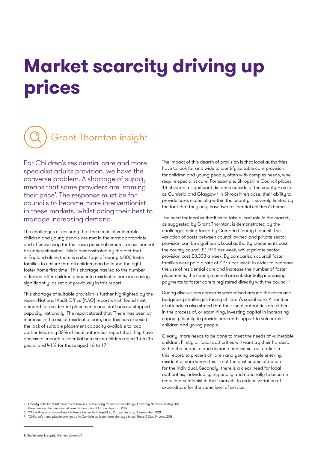### <span id="page-7-0"></span>**Market scarcity driving up prices**

#### Grant Thornton insight

For Children's residential care and more specialist adults provision, we have the converse problem. A shortage of supply means that some providers are 'naming their price'. The response must be for councils to become more interventionist in these markets, whilst doing their best to manage increasing demand.

The challenges of ensuring that the needs of vulnerable children and young people are met in the most appropriate and effective way for their own personal circumstances cannot be underestimated. This is demonstrated by the fact that in England alone there is a shortage of nearly 6,000 foster families to ensure that all children can be found the right foster home first time<sup>.4</sup> This shortage has led to the number of looked after children going into residential care increasing significantly, as set out previously in this report.

This shortage of suitable provision is further highlighted by the recent National Audit Office (NAO) report which found that demand for residential placements and staff has outstripped capacity nationally. The report stated that 'There has been an increase in the use of residential care, and this has exposed the lack of suitable placement capacity available to local authorities: only 32% of local authorities report that they have access to enough residential homes for children aged 14 to 15 years, and 41% for those aged 16 to 17'5

The impact of this dearth of provision is that local authorities have to look far and wide to identify suitable care provision for children and young people, often with complex needs, who require specialist care. For example, Shropshire Council places 14 children a significant distance outside of the county – as far as Cumbria and Glasgow.6 In Shropshire's case, their ability to provide care, especially within the county, is severely limited by the fact that they only have two residential children's homes.

The need for local authorities to take a lead role in the market, as suggested by Grant Thornton, is demonstrated by the challenges being faced by Cumbria County Council. The variation of costs between council owned and private sector provision can be significant. Local authority placements cost the county council £1,979 per week, whilst private sector provision cost £3,333 a week. By comparison council foster families were paid a rate of £274 per week. In order to decrease the use of residential care and increase the number of foster placements, the county council are substantially increasing payments to foster carers registered directly with the council.<sup>7</sup>

During discussions concerns were raised around the costs and budgetary challenges facing children's social care. A number of attendees also stated that their local authorities are either in the process of, or examining, investing capital in increasing capacity locally to provide care and support to vulnerable children and young people.

Clearly, more needs to be done to meet the needs of vulnerable children. Firstly all local authorities will want try their hardest, within the financial and demand context set out earlier in this report, to prevent children and young people entering residential care where this is not the best course of action for the individual. Secondly, there is a clear need for local authorities, individually, regionally and nationally to become more interventionist in their markets to reduce variation of expenditure for the same level of service.

<sup>4.</sup> Charity calls for 7,000 more foster families, particularly for teens and siblings, Fostering Network, 11 May 2017

<sup>5.</sup> Pressures on children's social care, National Audit Office, January 2019

<sup>6.</sup> '£1.2 million plan to overhaul children's homes in Shropshire', Shropshire Star, 11 September 2018

<sup>7.</sup> 'Children's home placements go up in Cumbria as foster care shortage bites', News & Star, 14 June 2018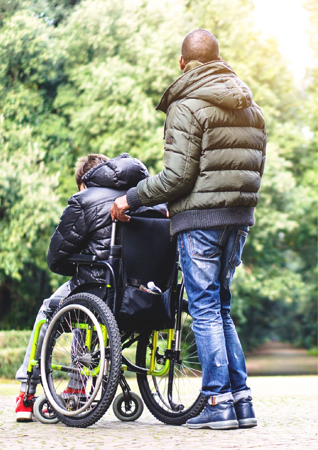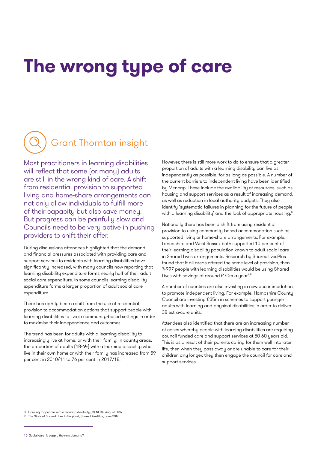### <span id="page-9-0"></span>**The wrong type of care**

#### Grant Thornton insight

Most practitioners in learning disabilities will reflect that some (or many) adults are still in the wrong kind of care. A shift from residential provision to supported living and home-share arrangements can not only allow individuals to fulfill more of their capacity but also save money. But progress can be painfully slow and Councils need to be very active in pushing providers to shift their offer.

During discussions attendees highlighted that the demand and financial pressures associated with providing care and support services to residents with learning disabilities have significantly increased, with many councils now reporting that learning disability expenditure forms nearly half of their adult social care expenditure. In some councils learning disability expenditure forms a larger proportion of adult social care expenditure.

There has rightly been a shift from the use of residential provision to accommodation options that support people with learning disabilities to live in community-based settings in order to maximise their independence and outcomes.

The trend has been for adults with a learning disability to increasingly live at home, or with their family. In county areas, the proportion of adults (18-64) with a learning disability who live in their own home or with their family has increased from 59 per cent in 2010/11 to 76 per cent in 2017/18.

However, there is still more work to do to ensure that a greater proportion of adults with a learning disability can live as independently as possible, for as long as possible. A number of the current barriers to independent living have been identified by Mencap. These include the availability of resources, such as housing and support services as a result of increasing demand, as well as reduction in local authority budgets. They also identify 'systematic failures in planning for the future of people with a learning disability' and the lack of appropriate housing.<sup>8</sup>

Nationally there has been a shift from using residential provision to using community-based accommodation such as supported living or home-share arrangements. For example, Lancashire and West Sussex both supported 10 per cent of their learning disability population known to adult social care in Shared Lives arrangements. Research by SharedLivesPlus found that if all areas offered the same level of provision, then '4997 people with learning disabilities would be using Shared Lives with savings of around £70m a year'.9

A number of counties are also investing in new accommodation to promote independent living. For example, Hampshire County Council are investing £35m in schemes to support younger adults with learning and physical disabilities in order to deliver 38 extra-care units.

Attendees also identified that there are an increasing number of cases whereby people with learning disabilities are requiring council funded care and support services at 50-60 years old. This is as a result of their parents caring for them well into later life, then when they pass away or are unable to care for their children any longer, they then engage the council for care and support services.

8. Housing for people with a learning disability, MENCAP, August 2016

9. The State of Shared Lives in England, SharedLivesPlus, June 2017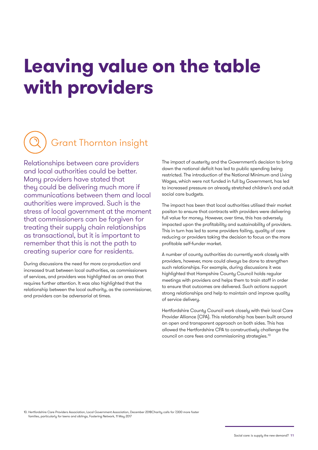## <span id="page-10-0"></span>**Leaving value on the table with providers**



#### Grant Thornton insight

Relationships between care providers and local authorities could be better. Many providers have stated that they could be delivering much more if communications between them and local authorities were improved. Such is the stress of local government at the moment that commissioners can be forgiven for treating their supply chain relationships as transactional, but it is important to remember that this is not the path to creating superior care for residents.

During discussions the need for more co-production and increased trust between local authorities, as commissioners of services, and providers was highlighted as an area that requires further attention. It was also highlighted that the relationship between the local authority, as the commissioner, and providers can be adversarial at times.

The impact of austerity and the Government's decision to bring down the national deficit has led to public spending being restricted. The introduction of the National Minimum and Living Wages, which were not funded in full by Government, has led to increased pressure on already stretched children's and adult social care budgets.

The impact has been that local authorities utilised their market positon to ensure that contracts with providers were delivering full value for money. However, over time, this has adversely impacted upon the profitability and sustainability of providers. This in turn has led to some providers failing, quality of care reducing or providers taking the decision to focus on the more profitable self-funder market.

A number of county authorities do currently work closely with providers, however, more could always be done to strenathen such relationships. For example, during discussions it was highlighted that Hampshire County Council holds regular meetings with providers and helps them to train staff in order to ensure that outcomes are delivered. Such actions support strong relationships and help to maintain and improve quality of service delivery.

Hertfordshire County Council work closely with their local Care Provider Alliance (CPA). This relationship has been built around an open and transparent approach on both sides. This has allowed the Hertfordshire CPA to constructively challenge the council on care fees and commissioning strategies.10

10. Hertfordshire Care Providers Association, Local Government Association, December 2018Charity calls for 7,000 more foster families, particularly for teens and siblings, Fostering Network, 11 May 2017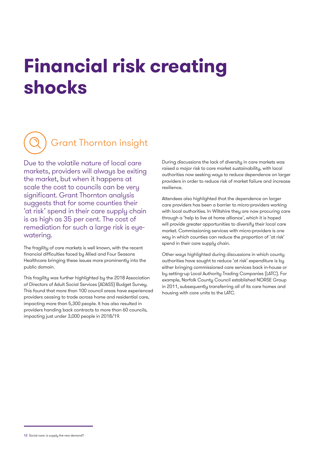## <span id="page-11-0"></span>**Financial risk creating shocks**

#### Grant Thornton insight

Due to the volatile nature of local care markets, providers will always be exiting the market, but when it happens at scale the cost to councils can be very significant. Grant Thornton analysis suggests that for some counties their 'at risk' spend in their care supply chain is as high as 35 per cent. The cost of remediation for such a large risk is eyewatering.

The fragility of care markets is well known, with the recent financial difficulties faced by Allied and Four Seasons Healthcare bringing these issues more prominently into the public domain.

This fragility was further highlighted by the 2018 Association of Directors of Adult Social Services (ADASS) Budget Survey. This found that more than 100 council areas have experienced providers ceasing to trade across home and residential care, impacting more than 5,300 people. It has also resulted in providers handing back contracts to more than 60 councils, impacting just under 3,000 people in 2018/19.

During discussions the lack of diversity in care markets was raised a major risk to care market sustainability, with local authorities now seeking ways to reduce dependence on larger providers in order to reduce risk of market failure and increase resilience.

Attendees also highlighted that the dependence on larger care providers has been a barrier to micro-providers working with local authorities. In Wiltshire they are now procuring care through a 'help to live at home alliance', which it is hoped will provide greater opportunities to diversify their local care market. Commissioning services with micro-providers is one way in which counties can reduce the proportion of 'at risk' spend in their care supply chain.

Other ways highlighted during discussions in which county authorities have sought to reduce 'at risk' expenditure is by either bringing commissioned care services back in-house or by setting-up Local Authority Trading Companies (LATC). For example, Norfolk County Council established NORSE Group in 2011, subsequently transferring all of its care homes and housing with care units to the LATC.

<sup>12</sup> Social care: is supply the new demand?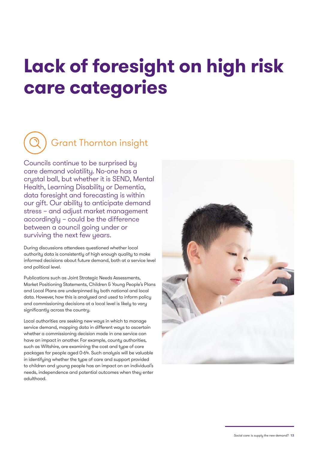# <span id="page-12-0"></span>**Lack of foresight on high risk care categories**



#### Grant Thornton insight

Councils continue to be surprised by care demand volatility. No-one has a crystal ball, but whether it is SEND, Mental Health, Learning Disability or Dementia, data foresight and forecasting is within our gift. Our ability to anticipate demand stress – and adjust market management accordingly – could be the difference between a council going under or surviving the next few years.

During discussions attendees questioned whether local authority data is consistently of high enough quality to make informed decisions about future demand, both at a service level and political level.

Publications such as Joint Strategic Needs Assessments, Market Positioning Statements, Children & Young People's Plans and Local Plans are underpinned by both national and local data. However, how this is analysed and used to inform policy and commissioning decisions at a local level is likely to vary significantly across the country.

Local authorities are seeking new ways in which to manage service demand, mapping data in different ways to ascertain whether a commissioning decision made in one service can have an impact in another. For example, county authorities, such as Wiltshire, are examining the cost and type of care packages for people aged 0-64. Such analysis will be valuable in identifying whether the type of care and support provided to children and young people has an impact on an individual's needs, independence and potential outcomes when they enter adulthood.

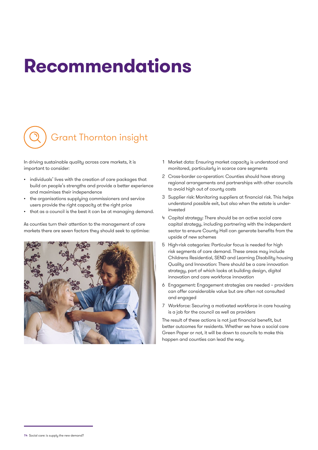## <span id="page-13-0"></span>**Recommendations**

### Grant Thornton insight

In driving sustainable quality across care markets, it is important to consider:

- individuals' lives with the creation of care packages that build on people's strengths and provide a better experience and maximises their independence
- the organisations supplying commissioners and service users provide the right capacity at the right price
- that as a council is the best it can be at managing demand.

As counties turn their attention to the management of care markets there are seven factors they should seek to optimise:



- 1 Market data: Ensuring market capacity is understood and monitored, particularly in scarce care segments
- 2 Cross-border co-operation: Counties should have strong regional arrangements and partnerships with other councils to avoid high out of county costs
- 3 Supplier risk: Monitoring suppliers at financial risk. This helps understand possible exit, but also when the estate is underinvested
- 4 Capital strategy: There should be an active social care capital strategy, including partnering with the independent sector to ensure County Hall can generate benefits from the upside of new schemes
- 5 High-risk categories: Particular focus is needed for high risk segments of care demand. These areas may include Childrens Residential, SEND and Learning Disability housing Quality and Innovation: There should be a care innovation strategy, part of which looks at building design, digital innovation and care workforce innovation
- 6 Engagement: Engagement strategies are needed providers can offer considerable value but are often not consulted and engaged
- 7 Workforce: Securing a motivated workforce in care housing is a job for the council as well as providers

The result of these actions is not just financial benefit, but better outcomes for residents. Whether we have a social care Green Paper or not, it will be down to councils to make this happen and counties can lead the way.

<sup>14</sup> Social care: is supply the new demand?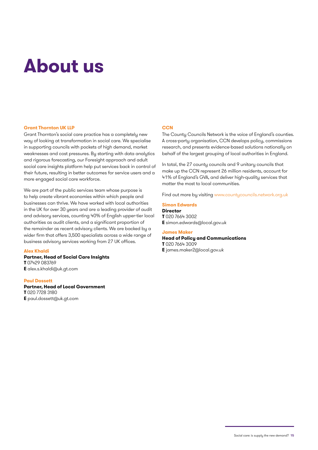## <span id="page-14-0"></span>**About us**

#### **Grant Thornton UK LLP**

Grant Thornton's social care practice has a completely new way of looking at transformation in social care. We specialise in supporting councils with pockets of high demand, market weaknesses and cost pressures. By starting with data analytics and rigorous forecasting, our Foresight approach and adult social care insights platform help put services back in control of their future, resulting in better outcomes for service users and a more engaged social care workforce.

We are part of the public services team whose purpose is to help create vibrant economies within which people and businesses can thrive. We have worked with local authorities in the UK for over 30 years and are a leading provider of audit and advisory services, counting 40% of English upper-tier local authorities as audit clients, and a significant proportion of the remainder as recent advisory clients. We are backed by a wider firm that offers 3,500 specialists across a wide range of business advisory services working from 27 UK offices.

#### **Alex Khaldi**

**Partner, Head of Social Care Insights T** 07429 083769 **E** alex.s.khaldi@uk.gt.com

#### **Paul Dossett**

**Partner, Head of Local Government T** 020 7728 3180 **E** paul.dossett@uk.gt.com

#### **CCN**

The County Councils Network is the voice of England's counties. A cross-party organisation, CCN develops policy, commissions research, and presents evidence-based solutions nationally on behalf of the largest grouping of local authorities in England.

In total, the 27 county councils and 9 unitary councils that make up the CCN represent 26 million residents, account for 41% of England's GVA, and deliver high-quality services that matter the most to local communities.

Find out more by visiting www.countycouncils.network.org.uk

#### **Simon Edwards**

**Director T** 020 7664 3002 **E** simon.edwards@local.gov.uk

#### **James Maker**

**Head of Policy and Communications T** 020 7664 3009 **E** james.maker2@local.gov.uk